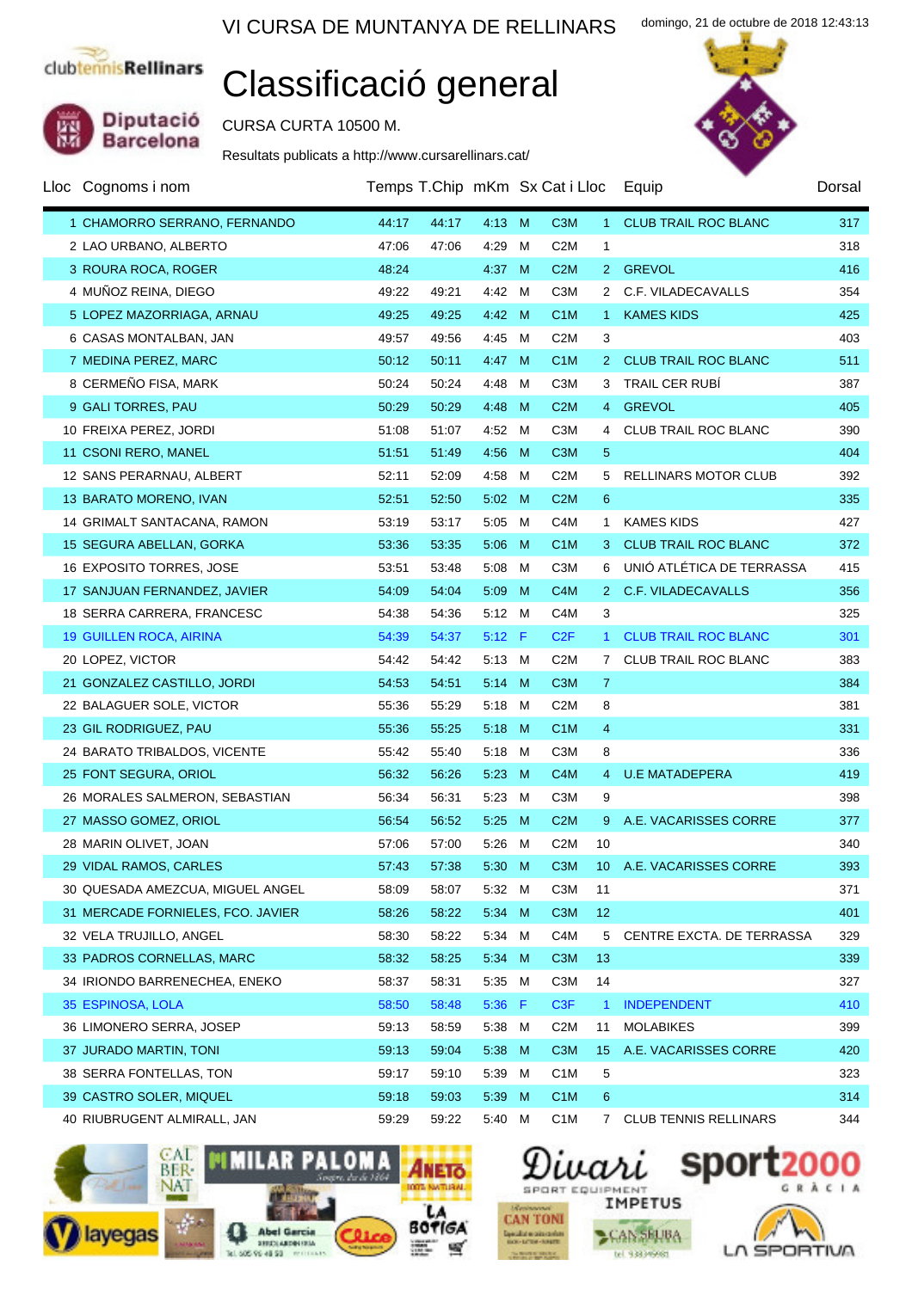Diputació<br>Barcelona

## Classificació general

CURSA CURTA 10500 M.

Resultats publicats a http://www.cursarellinars.cat/

| Lloc Cognoms i nom                | Temps T.Chip mKm Sx Cat i Lloc |       |                |    |                  |                 | Equip                        | Dorsal |
|-----------------------------------|--------------------------------|-------|----------------|----|------------------|-----------------|------------------------------|--------|
| 1 CHAMORRO SERRANO, FERNANDO      | 44:17                          | 44:17 | 4:13 M         |    | C <sub>3</sub> M | 1.              | <b>CLUB TRAIL ROC BLANC</b>  | 317    |
| 2 LAO URBANO, ALBERTO             | 47:06                          | 47:06 | 4:29           | м  | C <sub>2</sub> M | 1               |                              | 318    |
| 3 ROURA ROCA, ROGER               | 48:24                          |       | 4:37           | M  | C2M              | 2 <sup>1</sup>  | <b>GREVOL</b>                | 416    |
| 4 MUÑOZ REINA, DIEGO              | 49:22                          | 49:21 | 4:42 M         |    | C <sub>3</sub> M | $\mathbf{2}$    | C.F. VILADECAVALLS           | 354    |
| 5 LOPEZ MAZORRIAGA, ARNAU         | 49:25                          | 49:25 | 4:42 M         |    | C <sub>1</sub> M | $\mathbf{1}$    | <b>KAMES KIDS</b>            | 425    |
| 6 CASAS MONTALBAN, JAN            | 49:57                          | 49:56 | 4:45 M         |    | C <sub>2</sub> M | 3               |                              | 403    |
| 7 MEDINA PEREZ, MARC              | 50:12                          | 50:11 | 4.47           | M  | C <sub>1</sub> M | 2 <sup>2</sup>  | <b>CLUB TRAIL ROC BLANC</b>  | 511    |
| 8 CERMEÑO FISA, MARK              | 50:24                          | 50:24 | 4:48           | м  | C <sub>3</sub> M | 3               | TRAIL CER RUBI               | 387    |
| 9 GALI TORRES, PAU                | 50:29                          | 50:29 | 4:48           | M  | C2M              | $\overline{4}$  | <b>GREVOL</b>                | 405    |
| 10 FREIXA PEREZ, JORDI            | 51:08                          | 51:07 | 4:52 M         |    | C <sub>3</sub> M | 4               | CLUB TRAIL ROC BLANC         | 390    |
| 11 CSONI RERO, MANEL              | 51:51                          | 51:49 | 4:56           | M  | C <sub>3</sub> M | 5               |                              | 404    |
| 12 SANS PERARNAU, ALBERT          | 52:11                          | 52:09 | 4:58           | м  | C <sub>2</sub> M | 5               | RELLINARS MOTOR CLUB         | 392    |
| 13 BARATO MORENO, IVAN            | 52:51                          | 52:50 | $5:02 \quad M$ |    | C2M              | 6               |                              | 335    |
| 14 GRIMALT SANTACANA, RAMON       | 53:19                          | 53:17 | 5:05           | M  | C <sub>4</sub> M | 1.              | <b>KAMES KIDS</b>            | 427    |
| 15 SEGURA ABELLAN, GORKA          | 53:36                          | 53:35 | 5:06           | M  | C <sub>1</sub> M | 3.              | <b>CLUB TRAIL ROC BLANC</b>  | 372    |
| 16 EXPOSITO TORRES, JOSE          | 53:51                          | 53:48 | 5:08           | M  | C <sub>3</sub> M | 6               | UNIÓ ATLÉTICA DE TERRASSA    | 415    |
| 17 SANJUAN FERNANDEZ, JAVIER      | 54:09                          | 54:04 | 5:09           | M  | C <sub>4</sub> M | 2 <sup>1</sup>  | <b>C.F. VILADECAVALLS</b>    | 356    |
| 18 SERRA CARRERA, FRANCESC        | 54:38                          | 54:36 | $5:12 \quad M$ |    | C <sub>4</sub> M | 3               |                              | 325    |
| <b>19 GUILLEN ROCA, AIRINA</b>    | 54:39                          | 54:37 | $5:12$ F       |    | C2F              | $\mathbf{1}$    | <b>CLUB TRAIL ROC BLANC</b>  | 301    |
| 20 LOPEZ, VICTOR                  | 54:42                          | 54:42 | 5:13 M         |    | C <sub>2</sub> M | 7               | CLUB TRAIL ROC BLANC         | 383    |
| 21 GONZALEZ CASTILLO, JORDI       | 54:53                          | 54:51 | 5:14           | M  | C <sub>3</sub> M | $\mathbf{7}$    |                              | 384    |
| 22 BALAGUER SOLE, VICTOR          | 55:36                          | 55:29 | $5:18$ M       |    | C <sub>2</sub> M | 8               |                              | 381    |
| 23 GIL RODRIGUEZ, PAU             | 55:36                          | 55:25 | 5:18           | M  | C <sub>1</sub> M | 4               |                              | 331    |
| 24 BARATO TRIBALDOS, VICENTE      | 55:42                          | 55:40 | 5:18           | M  | C <sub>3</sub> M | 8               |                              | 336    |
| 25 FONT SEGURA, ORIOL             | 56:32                          | 56:26 | 5:23           | M  | C <sub>4</sub> M | 4               | <b>U.E MATADEPERA</b>        | 419    |
| 26 MORALES SALMERON, SEBASTIAN    | 56:34                          | 56:31 | 5:23 M         |    | C <sub>3</sub> M | 9               |                              | 398    |
| 27 MASSO GOMEZ, ORIOL             | 56:54                          | 56:52 | 5:25           | M  | C2M              | 9               | A.E. VACARISSES CORRE        | 377    |
| 28 MARIN OLIVET, JOAN             | 57:06                          | 57:00 | 5:26 M         |    | C <sub>2</sub> M | 10              |                              | 340    |
| 29 VIDAL RAMOS, CARLES            | 57:43                          | 57:38 | 5:30 M         |    |                  |                 | C3M 10 A.E. VACARISSES CORRE | 393    |
| 30 QUESADA AMEZCUA, MIGUEL ANGEL  | 58:09                          | 58:07 | 5:32 M         |    | C <sub>3</sub> M | 11              |                              | 371    |
| 31 MERCADE FORNIELES, FCO. JAVIER | 58:26                          | 58:22 | 5:34           | M  | C <sub>3</sub> M | 12              |                              | 401    |
| 32 VELA TRUJILLO, ANGEL           | 58:30                          | 58:22 | 5:34 M         |    | C4M              | 5               | CENTRE EXCTA. DE TERRASSA    | 329    |
| 33 PADROS CORNELLAS, MARC         | 58:32                          | 58:25 | 5:34           | M  | C <sub>3</sub> M | 13              |                              | 339    |
| 34 IRIONDO BARRENECHEA, ENEKO     | 58:37                          | 58:31 | 5:35 M         |    | C <sub>3</sub> M | 14              |                              | 327    |
| 35 ESPINOSA, LOLA                 | 58:50                          | 58:48 | 5:36           | -F | C <sub>3F</sub>  | $\mathbf{1}$    | <b>INDEPENDENT</b>           | 410    |
| 36 LIMONERO SERRA, JOSEP          | 59:13                          | 58:59 | 5:38 M         |    | C <sub>2</sub> M | 11              | <b>MOLABIKES</b>             | 399    |
| 37 JURADO MARTIN, TONI            | 59:13                          | 59:04 | 5:38 M         |    | C <sub>3</sub> M | 15 <sub>1</sub> | A.E. VACARISSES CORRE        | 420    |
| 38 SERRA FONTELLAS, TON           | 59:17                          | 59:10 | 5:39 M         |    | C <sub>1</sub> M | 5               |                              | 323    |
| 39 CASTRO SOLER, MIQUEL           | 59:18                          | 59:03 | 5:39 M         |    | C <sub>1</sub> M | 6               |                              | 314    |
| 40 RIUBRUGENT ALMIRALL, JAN       | 59:29                          | 59:22 | 5:40 M         |    | C <sub>1</sub> M | 7               | <b>CLUB TENNIS RELLINARS</b> | 344    |





**CAN SELBA** 

tel 933399981



domingo, 21 de octubre de 2018 12:43:13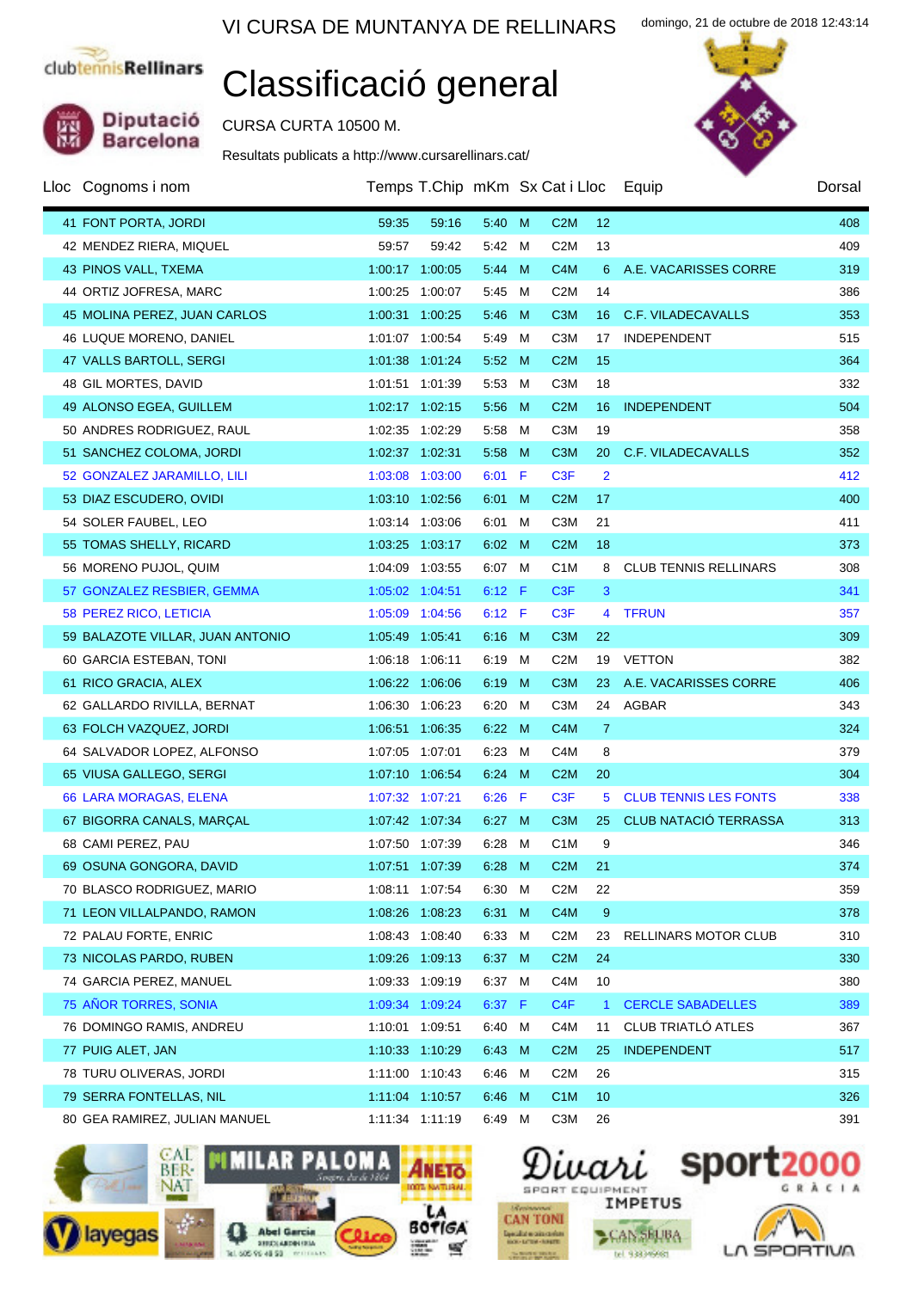Diputació<br>Barcelona

## Classificació general

CURSA CURTA 10500 M.

Resultats publicats a http://www.cursarellinars.cat/

| Lloc Cognoms i nom               |                 | Temps T.Chip mKm Sx Cat i Lloc |          |     |                  |                | Equip                        | Dorsal |
|----------------------------------|-----------------|--------------------------------|----------|-----|------------------|----------------|------------------------------|--------|
| 41 FONT PORTA, JORDI             | 59:35           | 59:16                          | 5:40 M   |     | C2M              | 12             |                              | 408    |
| 42 MENDEZ RIERA, MIQUEL          | 59:57           | 59:42                          | 5:42 M   |     | C <sub>2</sub> M | 13             |                              | 409    |
| 43 PINOS VALL, TXEMA             | 1:00:17 1:00:05 |                                | 5:44     | M   | C <sub>4</sub> M | 6              | A.E. VACARISSES CORRE        | 319    |
| 44 ORTIZ JOFRESA, MARC           | 1:00:25 1:00:07 |                                | 5:45     | M   | C <sub>2</sub> M | 14             |                              | 386    |
| 45 MOLINA PEREZ, JUAN CARLOS     | 1:00:31 1:00:25 |                                | 5:46     | M   | C <sub>3</sub> M | 16             | C.F. VILADECAVALLS           | 353    |
| 46 LUQUE MORENO, DANIEL          | 1:01:07 1:00:54 |                                | 5:49     | M   | C <sub>3</sub> M | 17             | INDEPENDENT                  | 515    |
| 47 VALLS BARTOLL, SERGI          | 1:01:38 1:01:24 |                                | 5:52     | - M | C2M              | 15             |                              | 364    |
| 48 GIL MORTES, DAVID             | 1:01:51 1:01:39 |                                | 5:53     | M   | C <sub>3</sub> M | 18             |                              | 332    |
| 49 ALONSO EGEA, GUILLEM          | 1:02:17 1:02:15 |                                | 5:56     | M   | C2M              | 16             | <b>INDEPENDENT</b>           | 504    |
| 50 ANDRES RODRIGUEZ, RAUL        | 1:02:35 1:02:29 |                                | 5:58     | M   | C <sub>3</sub> M | 19             |                              | 358    |
| 51 SANCHEZ COLOMA, JORDI         | 1:02:37 1:02:31 |                                | 5:58     | M   | C <sub>3</sub> M | 20             | C.F. VILADECAVALLS           | 352    |
| 52 GONZALEZ JARAMILLO, LILI      | 1:03:08 1:03:00 |                                | $6:01$ F |     | C <sub>3</sub> F | $\overline{2}$ |                              | 412    |
| 53 DIAZ ESCUDERO, OVIDI          | 1:03:10 1:02:56 |                                | 6:01     | M   | C2M              | 17             |                              | 400    |
| 54 SOLER FAUBEL, LEO             | 1:03:14 1:03:06 |                                | 6:01     | M   | C <sub>3</sub> M | 21             |                              | 411    |
| 55 TOMAS SHELLY, RICARD          | 1:03:25 1:03:17 |                                | 6:02     | M   | C2M              | 18             |                              | 373    |
| 56 MORENO PUJOL, QUIM            | 1:04:09 1:03:55 |                                | 6:07 M   |     | C <sub>1</sub> M | 8              | <b>CLUB TENNIS RELLINARS</b> | 308    |
| 57 GONZALEZ RESBIER, GEMMA       | 1:05:02 1:04:51 |                                | $6:12$ F |     | C <sub>3</sub> F | 3              |                              | 341    |
| 58 PEREZ RICO, LETICIA           | 1:05:09 1:04:56 |                                | $6:12$ F |     | C <sub>3</sub> F | 4              | <b>TFRUN</b>                 | 357    |
| 59 BALAZOTE VILLAR, JUAN ANTONIO | 1:05:49 1:05:41 |                                | 6:16 M   |     | C <sub>3</sub> M | 22             |                              | 309    |
| 60 GARCIA ESTEBAN, TONI          | 1:06:18 1:06:11 |                                | 6:19     | M   | C <sub>2</sub> M | 19             | <b>VETTON</b>                | 382    |
| 61 RICO GRACIA, ALEX             | 1:06:22 1:06:06 |                                | 6:19     | M   | C <sub>3</sub> M | 23             | A.E. VACARISSES CORRE        | 406    |
| 62 GALLARDO RIVILLA, BERNAT      | 1:06:30 1:06:23 |                                | 6:20     | M   | C <sub>3</sub> M |                | 24 AGBAR                     | 343    |
| 63 FOLCH VAZQUEZ, JORDI          | 1:06:51 1:06:35 |                                | 6:22     | M   | C <sub>4</sub> M | $\mathbf{7}$   |                              | 324    |
| 64 SALVADOR LOPEZ, ALFONSO       | 1:07:05 1:07:01 |                                | 6:23     | M   | C <sub>4</sub> M | 8              |                              | 379    |
| 65 VIUSA GALLEGO, SERGI          | 1:07:10 1:06:54 |                                | 6:24     | - M | C <sub>2</sub> M | 20             |                              | 304    |
| <b>66 LARA MORAGAS, ELENA</b>    | 1:07:32 1:07:21 |                                | $6:26$ F |     | C <sub>3</sub> F | 5.             | <b>CLUB TENNIS LES FONTS</b> | 338    |
| 67 BIGORRA CANALS, MARÇAL        | 1:07:42 1:07:34 |                                | 6:27     | M   | C <sub>3</sub> M | 25             | <b>CLUB NATACIÓ TERRASSA</b> | 313    |
| 68 CAMI PEREZ, PAU               | 1:07:50 1:07:39 |                                | 6:28 M   |     | C <sub>1</sub> M | 9              |                              | 346    |
| 69 OSUNA GONGORA, DAVID          |                 | 1:07:51 1:07:39                |          |     | 6:28 M C2M       | 21             |                              | 374    |
| 70 BLASCO RODRIGUEZ, MARIO       | 1:08:11 1:07:54 |                                | 6:30 M   |     | C <sub>2</sub> M | 22             |                              | 359    |
| 71 LEON VILLALPANDO, RAMON       | 1:08:26 1:08:23 |                                | 6:31     | M   | C <sub>4</sub> M | 9              |                              | 378    |
| 72 PALAU FORTE, ENRIC            | 1:08:43 1:08:40 |                                | 6:33 M   |     | C <sub>2</sub> M | 23             | RELLINARS MOTOR CLUB         | 310    |
| 73 NICOLAS PARDO, RUBEN          | 1:09:26 1:09:13 |                                | 6:37 M   |     | C <sub>2</sub> M | 24             |                              | 330    |
| 74 GARCIA PEREZ, MANUEL          | 1:09:33 1:09:19 |                                | 6:37 M   |     | C4M              | 10             |                              | 380    |
| 75 AÑOR TORRES, SONIA            | 1:09:34 1:09:24 |                                | 6:37 F   |     | C <sub>4F</sub>  | $\mathbf{1}$   | <b>CERCLE SABADELLES</b>     | 389    |
| 76 DOMINGO RAMIS, ANDREU         | 1:10:01 1:09:51 |                                | 6:40 M   |     | C <sub>4</sub> M | 11             | CLUB TRIATLÓ ATLES           | 367    |
| 77 PUIG ALET, JAN                | 1:10:33 1:10:29 |                                | 6:43 M   |     | C <sub>2</sub> M | 25             | <b>INDEPENDENT</b>           | 517    |
| 78 TURU OLIVERAS, JORDI          | 1:11:00 1:10:43 |                                | 6:46 M   |     | C <sub>2</sub> M | 26             |                              | 315    |
| 79 SERRA FONTELLAS, NIL          | 1:11:04 1:10:57 |                                | 6:46 M   |     | C <sub>1</sub> M | 10             |                              | 326    |
| 80 GEA RAMIREZ, JULIAN MANUEL    | 1:11:34 1:11:19 |                                | 6:49 M   |     | C <sub>3</sub> M | 26             |                              | 391    |





**CAN SELBA** 

tel 93339998

spor  $\overline{1}$  $\epsilon$ 



domingo, 21 de octubre de 2018 12:43:14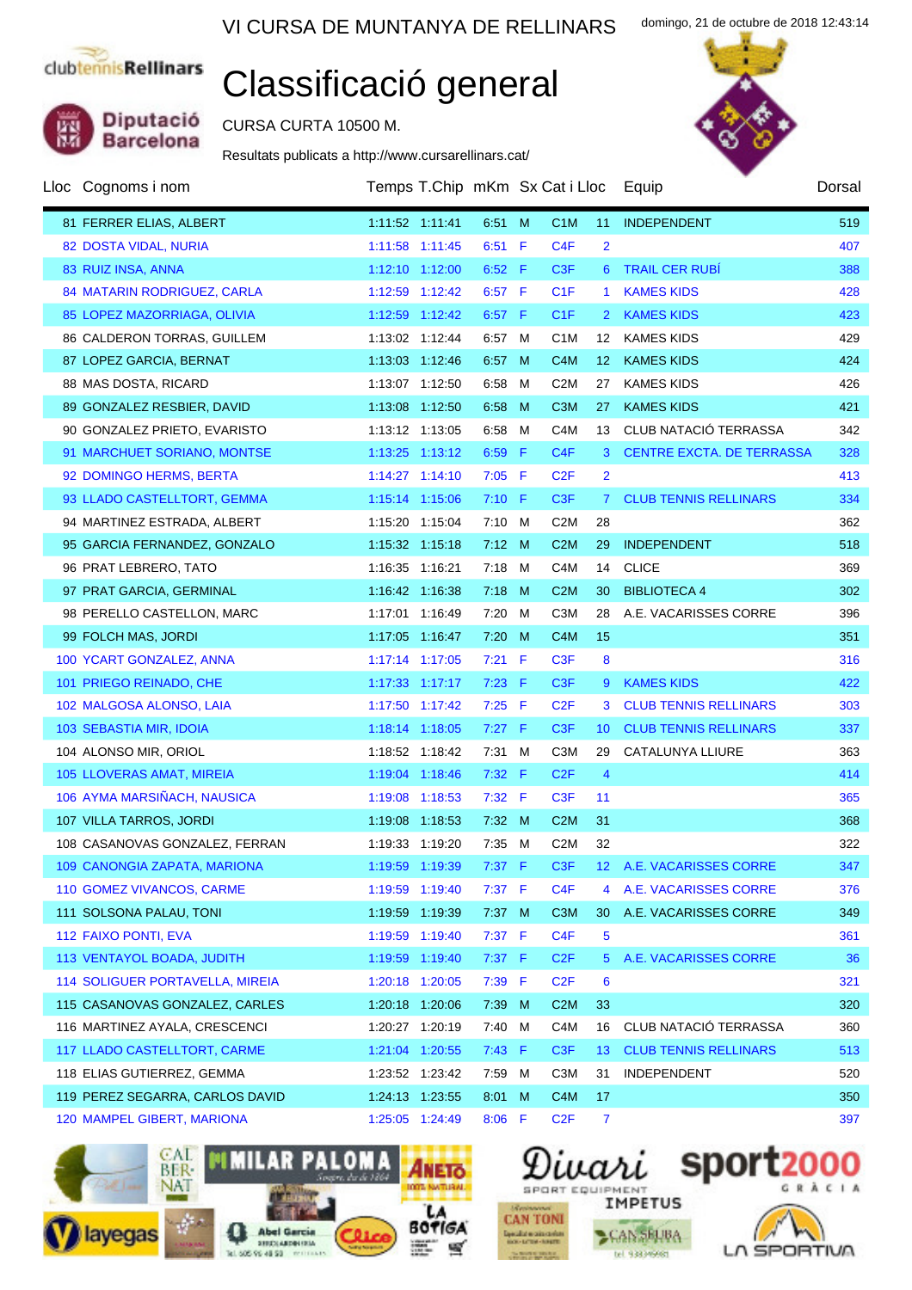Diputació<br>Barcelona

# Classificació general

CURSA CURTA 10500 M.

Resultats publicats a http://www.cursarellinars.cat/



domingo, 21 de octubre de 2018 12:43:14

| Lloc Cognoms i nom                     |                  | Temps T.Chip mKm Sx Cat i Lloc |          |   |                  |                  | Equip                            | Dorsal |
|----------------------------------------|------------------|--------------------------------|----------|---|------------------|------------------|----------------------------------|--------|
| 81 FERRER ELIAS, ALBERT                | 1:11:52 1:11:41  |                                | 6.51 M   |   | C <sub>1</sub> M | 11               | INDEPENDENT                      | 519    |
| 82 DOSTA VIDAL, NURIA                  | 1:11:58 1:11:45  |                                | $6:51$ F |   | C4F              | $\overline{2}$   |                                  | 407    |
| 83 RUIZ INSA, ANNA                     | 1:12:10 1:12:00  |                                | $6:52$ F |   | C <sub>3</sub> F | 6 <sup>1</sup>   | <b>TRAIL CER RUBÍ</b>            | 388    |
| 84 MATARIN RODRIGUEZ, CARLA            | 1:12:59 1:12:42  |                                | 6:57 F   |   | C1F              | 1.               | <b>KAMES KIDS</b>                | 428    |
| 85 LOPEZ MAZORRIAGA, OLIVIA            | 1:12:59 1:12:42  |                                | $6:57$ F |   | C1F              | 2 <sup>2</sup>   | <b>KAMES KIDS</b>                | 423    |
| 86 CALDERON TORRAS, GUILLEM            | 1:13:02 1:12:44  |                                | 6:57 M   |   | C <sub>1</sub> M | 12 <sup>12</sup> | <b>KAMES KIDS</b>                | 429    |
| 87 LOPEZ GARCIA, BERNAT                | 1:13:03 1:12:46  |                                | 6:57     | M | C <sub>4</sub> M | 12 <sup>2</sup>  | <b>KAMES KIDS</b>                | 424    |
| 88 MAS DOSTA, RICARD                   | 1:13:07 1:12:50  |                                | 6:58     | M | C <sub>2</sub> M | 27               | <b>KAMES KIDS</b>                | 426    |
| 89 GONZALEZ RESBIER, DAVID             | 1:13:08 1:12:50  |                                | 6.58     | M | C <sub>3</sub> M | 27               | <b>KAMES KIDS</b>                | 421    |
| 90 GONZALEZ PRIETO, EVARISTO           | 1:13:12 1:13:05  |                                | 6:58     | M | C4M              | 13               | CLUB NATACIÓ TERRASSA            | 342    |
| 91 MARCHUET SORIANO, MONTSE            | 1:13:25 1:13:12  |                                | $6:59$ F |   | C4F              | 3                | <b>CENTRE EXCTA. DE TERRASSA</b> | 328    |
| 92 DOMINGO HERMS, BERTA                | 1:14:27 1:14:10  |                                | $7:05$ F |   | C2F              | $\overline{2}$   |                                  | 413    |
| 93 LLADO CASTELLTORT, GEMMA            | 1:15:14 1:15:06  |                                | $7:10$ F |   | C <sub>3</sub> F | 7 <sup>1</sup>   | <b>CLUB TENNIS RELLINARS</b>     | 334    |
| 94 MARTINEZ ESTRADA, ALBERT            | 1:15:20 1:15:04  |                                | $7:10$ M |   | C <sub>2</sub> M | 28               |                                  | 362    |
| 95 GARCIA FERNANDEZ, GONZALO           | 1:15:32  1:15:18 |                                | 7:12 M   |   | C2M              | 29               | <b>INDEPENDENT</b>               | 518    |
| 96 PRAT LEBRERO, TATO                  | 1:16:35 1:16:21  |                                | 7:18 M   |   | C <sub>4</sub> M | 14               | <b>CLICE</b>                     | 369    |
| 97 PRAT GARCIA, GERMINAL               | 1:16:42 1:16:38  |                                | $7:18$ M |   | C2M              | 30               | <b>BIBLIOTECA 4</b>              | 302    |
| 98 PERELLO CASTELLON, MARC             | 1:17:01 1:16:49  |                                | 7:20     | M | C <sub>3</sub> M | 28               | A.E. VACARISSES CORRE            | 396    |
| 99 FOLCH MAS, JORDI                    | 1:17:05 1:16:47  |                                | 7:20     | M | C <sub>4</sub> M | 15               |                                  | 351    |
| 100 YCART GONZALEZ, ANNA               | 1:17:14 1:17:05  |                                | $7:21$ F |   | C <sub>3</sub> F | 8                |                                  | 316    |
| 101 PRIEGO REINADO, CHE                | 1:17:33 1:17:17  |                                | $7:23$ F |   | C <sub>3</sub> F | 9                | <b>KAMES KIDS</b>                | 422    |
| 102 MALGOSA ALONSO, LAIA               | 1:17:50 1:17:42  |                                | $7:25$ F |   | C2F              | 3                | <b>CLUB TENNIS RELLINARS</b>     | 303    |
| 103 SEBASTIA MIR, IDOIA                | 1:18:14 1:18:05  |                                | $7:27$ F |   | C <sub>3</sub> F | 10 <sup>°</sup>  | <b>CLUB TENNIS RELLINARS</b>     | 337    |
| 104 ALONSO MIR, ORIOL                  | 1:18:52 1:18:42  |                                | $7:31$ M |   | C <sub>3</sub> M | 29               | CATALUNYA LLIURE                 | 363    |
| 105 LLOVERAS AMAT, MIREIA              | 1:19:04 1:18:46  |                                | 7:32 F   |   | C2F              | $\overline{4}$   |                                  | 414    |
| 106 AYMA MARSIÑACH, NAUSICA            | 1:19:08 1:18:53  |                                | 7:32 F   |   | C <sub>3</sub> F | 11               |                                  | 365    |
| 107 VILLA TARROS, JORDI                | 1:19:08 1:18:53  |                                | 7:32 M   |   | C2M              | 31               |                                  | 368    |
| 108 CASANOVAS GONZALEZ, FERRAN         | 1:19:33 1:19:20  |                                | 7:35 M   |   | C <sub>2</sub> M | 32               |                                  | 322    |
| 109 CANONGIA ZAPATA, MARIONA           | 1:19:59 1:19:39  |                                | $7:37$ F |   | C <sub>3</sub> F |                  | 12 A.E. VACARISSES CORRE         | 347    |
| 110 GOMEZ VIVANCOS, CARME              | 1:19:59 1:19:40  |                                | $7:37$ F |   | C <sub>4</sub> F | 4                | A.E. VACARISSES CORRE            | 376    |
| 111 SOLSONA PALAU, TONI                | 1:19:59 1:19:39  |                                | 7:37 M   |   | C <sub>3</sub> M | 30               | A.E. VACARISSES CORRE            | 349    |
| 112 FAIXO PONTI, EVA                   | 1:19:59 1:19:40  |                                | 7:37 F   |   | C <sub>4F</sub>  | 5                |                                  | 361    |
| 113 VENTAYOL BOADA, JUDITH             | 1:19:59 1:19:40  |                                | 7:37 F   |   | C2F              | $5^{\circ}$      | A.E. VACARISSES CORRE            | 36     |
| <b>114 SOLIGUER PORTAVELLA, MIREIA</b> | 1:20:18 1:20:05  |                                | 7:39 F   |   | C <sub>2</sub> F | 6                |                                  | 321    |
| 115 CASANOVAS GONZALEZ, CARLES         | 1:20:18 1:20:06  |                                | 7:39     | M | C <sub>2</sub> M | 33               |                                  | 320    |
| 116 MARTINEZ AYALA, CRESCENCI          | 1:20:27 1:20:19  |                                | 7:40     | M | C4M              | 16               | CLUB NATACIÓ TERRASSA            | 360    |
| 117 LLADO CASTELLTORT, CARME           | 1:21:04 1:20:55  |                                | 7:43 F   |   | C <sub>3</sub> F | 13               | <b>CLUB TENNIS RELLINARS</b>     | 513    |
| 118 ELIAS GUTIERREZ, GEMMA             | 1:23:52 1:23:42  |                                | 7:59     | M | C <sub>3</sub> M | 31               | <b>INDEPENDENT</b>               | 520    |
| 119 PEREZ SEGARRA, CARLOS DAVID        | 1:24:13 1:23:55  |                                | 8:01     | M | C <sub>4</sub> M | 17               |                                  | 350    |
| 120 MAMPEL GIBERT, MARIONA             | 1:25:05 1:24:49  |                                | $8:06$ F |   | C2F              | $\mathbf{7}$     |                                  | 397    |





**CAN SELBA** 

tel 933399981





LA SPORTIVA